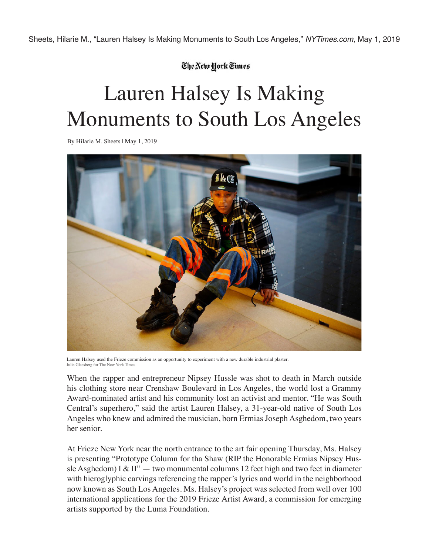## The New York Times

## Lauren Halsey Is Making Monuments to South Los Angeles

By Hilarie M. Sheets | May 1, 2019



Lauren Halsey used the Frieze commission as an opportunity to experiment with a new durable industrial plaster. Julie Glassberg for The New York Times

When the rapper and entrepreneur Nipsey Hussle was shot to death in March outside his clothing store near Crenshaw Boulevard in Los Angeles, the world lost a Grammy Award-nominated artist and his community lost an activist and mentor. "He was South Central's superhero," said the artist Lauren Halsey, a 31-year-old native of South Los Angeles who knew and admired the musician, born Ermias Joseph Asghedom, two years her senior.

At Frieze New York near the north entrance to the art fair opening Thursday, Ms. Halsey is presenting "Prototype Column for tha Shaw (RIP the Honorable Ermias Nipsey Hussle Asghedom) I & II"  $-$  two monumental columns 12 feet high and two feet in diameter with hieroglyphic carvings referencing the rapper's lyrics and world in the neighborhood now known as South Los Angeles. Ms. Halsey's project was selected from well over 100 international applications for the 2019 Frieze Artist Award, a commission for emerging artists supported by the Luma Foundation.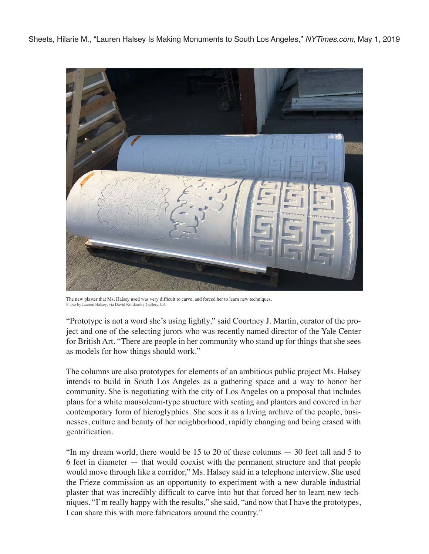Sheets, Hilarie M., "Lauren Halsey Is Making Monuments to South Los Angeles," *NYTimes.com*, May 1, 2019



The new plaster that Ms. Halsey used was very difficult to carve, and forced her to learn new techniques. Photo by Lauren Halsey, via David Kordansky Gallery, LA

"Prototype is not a word she's using lightly," said Courtney J. Martin, curator of the project and one of the selecting jurors who was recently named director of the Yale Center for British Art. "There are people in her community who stand up for things that she sees as models for how things should work."

The columns are also prototypes for elements of an ambitious public project Ms. Halsey intends to build in South Los Angeles as a gathering space and a way to honor her community. She is negotiating with the city of Los Angeles on a proposal that includes plans for a white mausoleum-type structure with seating and planters and covered in her contemporary form of hieroglyphics. She sees it as a living archive of the people, businesses, culture and beauty of her neighborhood, rapidly changing and being erased with gentrification.

"In my dream world, there would be 15 to 20 of these columns — 30 feet tall and 5 to 6 feet in diameter — that would coexist with the permanent structure and that people would move through like a corridor," Ms. Halsey said in a telephone interview. She used the Frieze commission as an opportunity to experiment with a new durable industrial plaster that was incredibly difficult to carve into but that forced her to learn new techniques. "I'm really happy with the results," she said, "and now that I have the prototypes, I can share this with more fabricators around the country."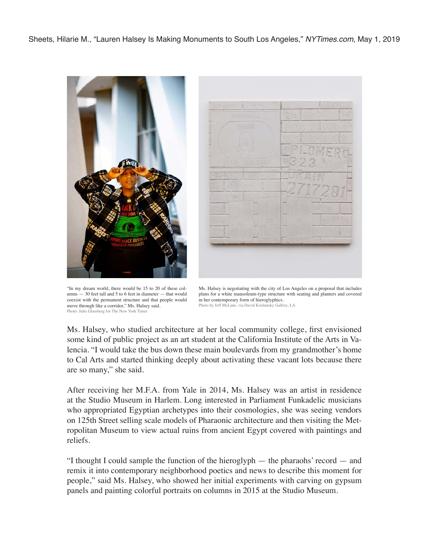Sheets, Hilarie M., "Lauren Halsey Is Making Monuments to South Los Angeles," *NYTimes.com*, May 1, 2019





"In my dream world, there would be 15 to 20 of these columns — 30 feet tall and 5 to 6 feet in diameter — that would coexist with the permanent structure and that people would move through like a corridor," Ms. Halsey said. Photo: Julie Glassberg for The New York Times



Ms. Halsey, who studied architecture at her local community college, first envisioned some kind of public project as an art student at the California Institute of the Arts in Valencia. "I would take the bus down these main boulevards from my grandmother's home to Cal Arts and started thinking deeply about activating these vacant lots because there are so many," she said.

After receiving her M.F.A. from Yale in 2014, Ms. Halsey was an artist in residence at the Studio Museum in Harlem. Long interested in Parliament Funkadelic musicians who appropriated Egyptian archetypes into their cosmologies, she was seeing vendors on 125th Street selling scale models of Pharaonic architecture and then visiting the Metropolitan Museum to view actual ruins from ancient Egypt covered with paintings and reliefs.

"I thought I could sample the function of the hieroglyph — the pharaohs' record — and remix it into contemporary neighborhood poetics and news to describe this moment for people," said Ms. Halsey, who showed her initial experiments with carving on gypsum panels and painting colorful portraits on columns in 2015 at the Studio Museum.